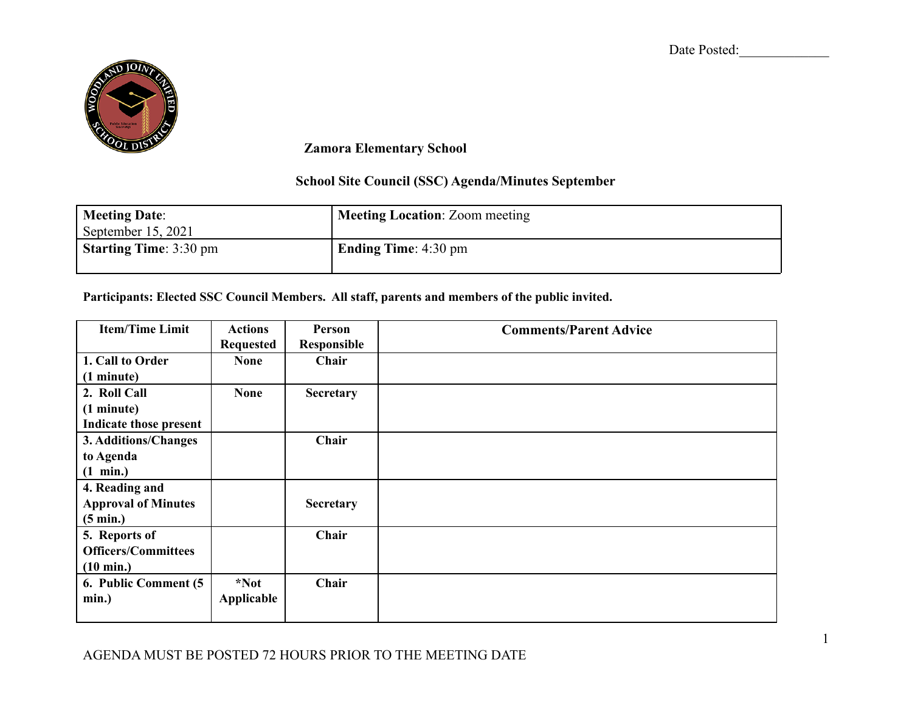Date Posted:



**Zamora Elementary School**

## **School Site Council (SSC) Agenda/Minutes September**

| <b>Meeting Date:</b><br>September $15, 2021$ | <b>Meeting Location: Zoom meeting</b> |
|----------------------------------------------|---------------------------------------|
| <b>Starting Time: 3:30 pm</b>                | Ending Time: $4:30 \text{ pm}$        |

**Participants: Elected SSC Council Members. All staff, parents and members of the public invited.**

| <b>Item/Time Limit</b>     | <b>Actions</b>   | Person           | <b>Comments/Parent Advice</b> |
|----------------------------|------------------|------------------|-------------------------------|
|                            | <b>Requested</b> | Responsible      |                               |
| 1. Call to Order           | <b>None</b>      | Chair            |                               |
| (1 minute)                 |                  |                  |                               |
| 2. Roll Call               | <b>None</b>      | Secretary        |                               |
| (1 minute)                 |                  |                  |                               |
| Indicate those present     |                  |                  |                               |
| 3. Additions/Changes       |                  | Chair            |                               |
| to Agenda                  |                  |                  |                               |
| $(1 \text{ min.})$         |                  |                  |                               |
| 4. Reading and             |                  |                  |                               |
| <b>Approval of Minutes</b> |                  | <b>Secretary</b> |                               |
| $(5 \text{ min.})$         |                  |                  |                               |
| 5. Reports of              |                  | Chair            |                               |
| <b>Officers/Committees</b> |                  |                  |                               |
| $(10 \text{ min.})$        |                  |                  |                               |
| 6. Public Comment (5       | *Not             | Chair            |                               |
| min.)                      | Applicable       |                  |                               |
|                            |                  |                  |                               |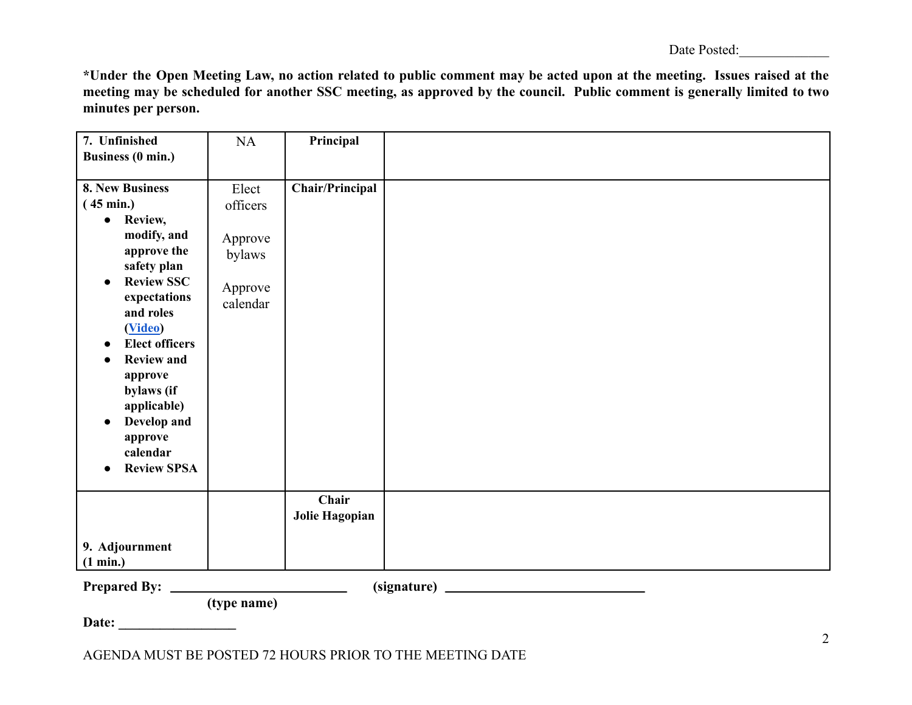| Date Posted: |
|--------------|
|--------------|

\*Under the Open Meeting Law, no action related to public comment may be acted upon at the meeting. Issues raised at the meeting may be scheduled for another SSC meeting, as approved by the council. Public comment is generally limited to two **minutes per person.**

| 7. Unfinished                      | NA          | Principal              |  |
|------------------------------------|-------------|------------------------|--|
| <b>Business (0 min.)</b>           |             |                        |  |
|                                    |             |                        |  |
| 8. New Business                    | Elect       | <b>Chair/Principal</b> |  |
| $(45 \text{ min.})$                | officers    |                        |  |
| Review,<br>$\bullet$               |             |                        |  |
| modify, and                        |             |                        |  |
|                                    | Approve     |                        |  |
| approve the                        | bylaws      |                        |  |
| safety plan                        |             |                        |  |
| <b>Review SSC</b><br>$\bullet$     | Approve     |                        |  |
| expectations                       | calendar    |                        |  |
| and roles                          |             |                        |  |
| (Video)                            |             |                        |  |
| <b>Elect officers</b><br>$\bullet$ |             |                        |  |
| <b>Review and</b>                  |             |                        |  |
| approve                            |             |                        |  |
| bylaws (if                         |             |                        |  |
| applicable)                        |             |                        |  |
| Develop and<br>$\bullet$           |             |                        |  |
| approve                            |             |                        |  |
| calendar                           |             |                        |  |
| <b>Review SPSA</b><br>$\bullet$    |             |                        |  |
|                                    |             |                        |  |
|                                    |             | Chair                  |  |
|                                    |             | Jolie Hagopian         |  |
|                                    |             |                        |  |
| 9. Adjournment                     |             |                        |  |
|                                    |             |                        |  |
| (1 min.)                           |             |                        |  |
| <b>Prepared By:</b>                |             |                        |  |
|                                    | (type name) |                        |  |
| Date:                              |             |                        |  |
|                                    |             |                        |  |